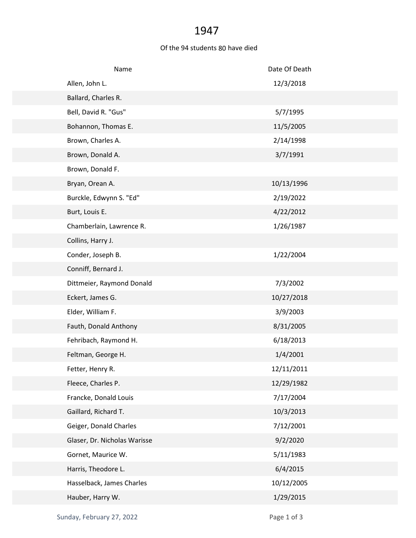## 1947

## Of the 94 students 80 have died

| Name                         | Date Of Death |
|------------------------------|---------------|
| Allen, John L.               | 12/3/2018     |
| Ballard, Charles R.          |               |
| Bell, David R. "Gus"         | 5/7/1995      |
| Bohannon, Thomas E.          | 11/5/2005     |
| Brown, Charles A.            | 2/14/1998     |
| Brown, Donald A.             | 3/7/1991      |
| Brown, Donald F.             |               |
| Bryan, Orean A.              | 10/13/1996    |
| Burckle, Edwynn S. "Ed"      | 2/19/2022     |
| Burt, Louis E.               | 4/22/2012     |
| Chamberlain, Lawrence R.     | 1/26/1987     |
| Collins, Harry J.            |               |
| Conder, Joseph B.            | 1/22/2004     |
| Conniff, Bernard J.          |               |
| Dittmeier, Raymond Donald    | 7/3/2002      |
| Eckert, James G.             | 10/27/2018    |
| Elder, William F.            | 3/9/2003      |
| Fauth, Donald Anthony        | 8/31/2005     |
| Fehribach, Raymond H.        | 6/18/2013     |
| Feltman, George H.           | 1/4/2001      |
| Fetter, Henry R.             | 12/11/2011    |
| Fleece, Charles P.           | 12/29/1982    |
| Francke, Donald Louis        | 7/17/2004     |
| Gaillard, Richard T.         | 10/3/2013     |
| Geiger, Donald Charles       | 7/12/2001     |
| Glaser, Dr. Nicholas Warisse | 9/2/2020      |
| Gornet, Maurice W.           | 5/11/1983     |
| Harris, Theodore L.          | 6/4/2015      |
| Hasselback, James Charles    | 10/12/2005    |
| Hauber, Harry W.             | 1/29/2015     |
|                              |               |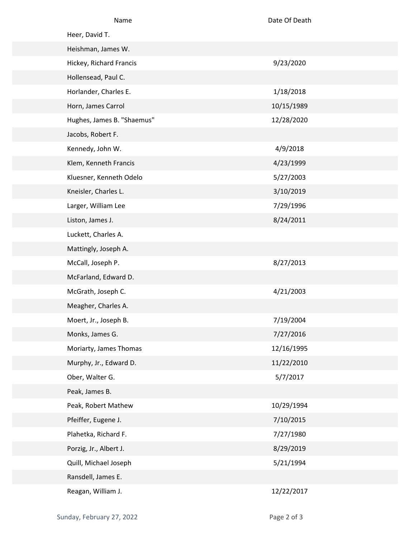| Name                       | Date Of Death |
|----------------------------|---------------|
| Heer, David T.             |               |
| Heishman, James W.         |               |
| Hickey, Richard Francis    | 9/23/2020     |
| Hollensead, Paul C.        |               |
| Horlander, Charles E.      | 1/18/2018     |
| Horn, James Carrol         | 10/15/1989    |
| Hughes, James B. "Shaemus" | 12/28/2020    |
| Jacobs, Robert F.          |               |
| Kennedy, John W.           | 4/9/2018      |
| Klem, Kenneth Francis      | 4/23/1999     |
| Kluesner, Kenneth Odelo    | 5/27/2003     |
| Kneisler, Charles L.       | 3/10/2019     |
| Larger, William Lee        | 7/29/1996     |
| Liston, James J.           | 8/24/2011     |
| Luckett, Charles A.        |               |
| Mattingly, Joseph A.       |               |
| McCall, Joseph P.          | 8/27/2013     |
| McFarland, Edward D.       |               |
| McGrath, Joseph C.         | 4/21/2003     |
| Meagher, Charles A.        |               |
| Moert, Jr., Joseph B.      | 7/19/2004     |
| Monks, James G.            | 7/27/2016     |
| Moriarty, James Thomas     | 12/16/1995    |
| Murphy, Jr., Edward D.     | 11/22/2010    |
| Ober, Walter G.            | 5/7/2017      |
| Peak, James B.             |               |
| Peak, Robert Mathew        | 10/29/1994    |
| Pfeiffer, Eugene J.        | 7/10/2015     |
| Plahetka, Richard F.       | 7/27/1980     |
| Porzig, Jr., Albert J.     | 8/29/2019     |
| Quill, Michael Joseph      | 5/21/1994     |
| Ransdell, James E.         |               |
| Reagan, William J.         | 12/22/2017    |